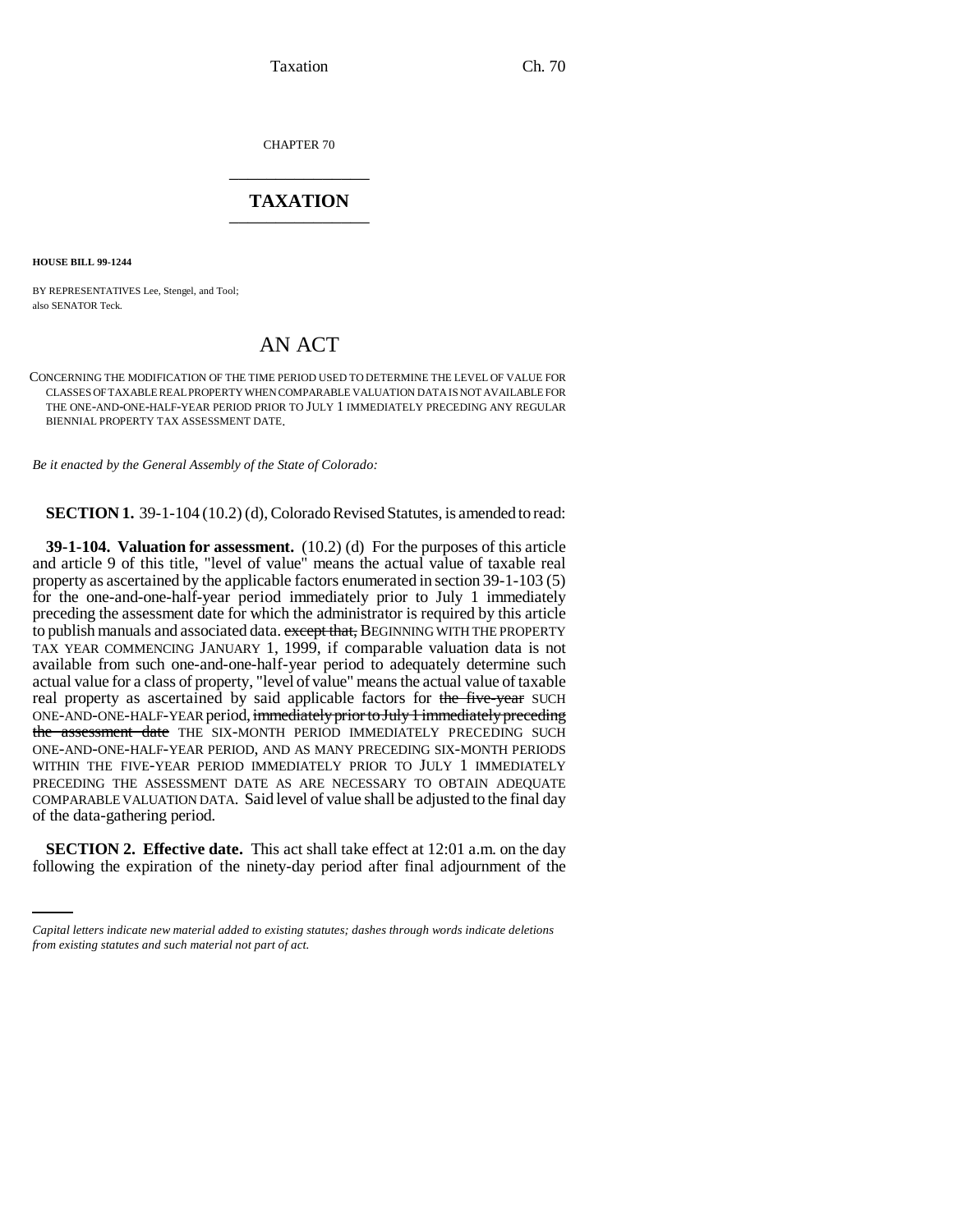Taxation Ch. 70

CHAPTER 70 \_\_\_\_\_\_\_\_\_\_\_\_\_\_\_

## **TAXATION** \_\_\_\_\_\_\_\_\_\_\_\_\_\_\_

**HOUSE BILL 99-1244** 

BY REPRESENTATIVES Lee, Stengel, and Tool; also SENATOR Teck.

## AN ACT

CONCERNING THE MODIFICATION OF THE TIME PERIOD USED TO DETERMINE THE LEVEL OF VALUE FOR CLASSES OF TAXABLE REAL PROPERTY WHEN COMPARABLE VALUATION DATA IS NOT AVAILABLE FOR THE ONE-AND-ONE-HALF-YEAR PERIOD PRIOR TO JULY 1 IMMEDIATELY PRECEDING ANY REGULAR BIENNIAL PROPERTY TAX ASSESSMENT DATE.

*Be it enacted by the General Assembly of the State of Colorado:*

**SECTION 1.** 39-1-104 (10.2) (d), Colorado Revised Statutes, is amended to read:

**39-1-104. Valuation for assessment.** (10.2) (d) For the purposes of this article and article 9 of this title, "level of value" means the actual value of taxable real property as ascertained by the applicable factors enumerated in section 39-1-103 (5) for the one-and-one-half-year period immediately prior to July 1 immediately preceding the assessment date for which the administrator is required by this article to publish manuals and associated data. except that, BEGINNING WITH THE PROPERTY TAX YEAR COMMENCING JANUARY 1, 1999, if comparable valuation data is not available from such one-and-one-half-year period to adequately determine such actual value for a class of property, "level of value" means the actual value of taxable real property as ascertained by said applicable factors for the five-year SUCH ONE-AND-ONE-HALF-YEAR period, immediately prior to July 1 immediately preceding the assessment date THE SIX-MONTH PERIOD IMMEDIATELY PRECEDING SUCH ONE-AND-ONE-HALF-YEAR PERIOD, AND AS MANY PRECEDING SIX-MONTH PERIODS WITHIN THE FIVE-YEAR PERIOD IMMEDIATELY PRIOR TO JULY 1 IMMEDIATELY PRECEDING THE ASSESSMENT DATE AS ARE NECESSARY TO OBTAIN ADEQUATE COMPARABLE VALUATION DATA. Said level of value shall be adjusted to the final day of the data-gathering period.

**SECTION 2. Effective date.** This act shall take effect at 12:01 a.m. on the day following the expiration of the ninety-day period after final adjournment of the

*Capital letters indicate new material added to existing statutes; dashes through words indicate deletions from existing statutes and such material not part of act.*